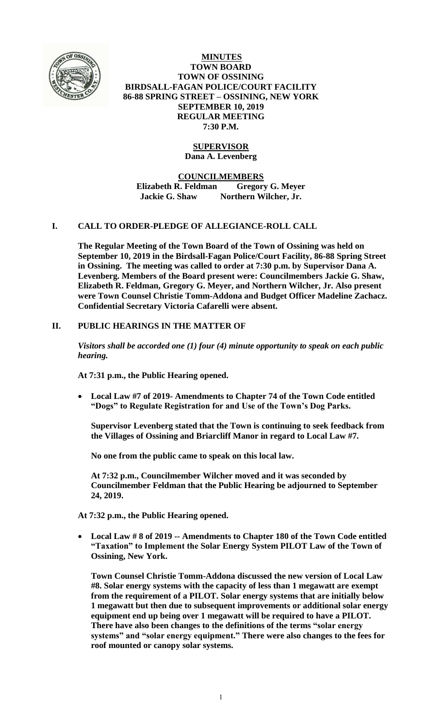

**MINUTES TOWN BOARD TOWN OF OSSINING BIRDSALL-FAGAN POLICE/COURT FACILITY 86-88 SPRING STREET – OSSINING, NEW YORK SEPTEMBER 10, 2019 REGULAR MEETING 7:30 P.M.**

# **SUPERVISOR**

**Dana A. Levenberg**

**COUNCILMEMBERS**

**Elizabeth R. Feldman Gregory G. Meyer Jackie G. Shaw Northern Wilcher, Jr.**

# **I. CALL TO ORDER-PLEDGE OF ALLEGIANCE-ROLL CALL**

**The Regular Meeting of the Town Board of the Town of Ossining was held on September 10, 2019 in the Birdsall-Fagan Police/Court Facility, 86-88 Spring Street in Ossining. The meeting was called to order at 7:30 p.m. by Supervisor Dana A. Levenberg. Members of the Board present were: Councilmembers Jackie G. Shaw, Elizabeth R. Feldman, Gregory G. Meyer, and Northern Wilcher, Jr. Also present were Town Counsel Christie Tomm-Addona and Budget Officer Madeline Zachacz. Confidential Secretary Victoria Cafarelli were absent.**

# **II. PUBLIC HEARINGS IN THE MATTER OF**

*Visitors shall be accorded one (1) four (4) minute opportunity to speak on each public hearing.*

**At 7:31 p.m., the Public Hearing opened.**

 **Local Law #7 of 2019- Amendments to Chapter 74 of the Town Code entitled "Dogs" to Regulate Registration for and Use of the Town's Dog Parks.**

**Supervisor Levenberg stated that the Town is continuing to seek feedback from the Villages of Ossining and Briarcliff Manor in regard to Local Law #7.** 

**No one from the public came to speak on this local law.**

**At 7:32 p.m., Councilmember Wilcher moved and it was seconded by Councilmember Feldman that the Public Hearing be adjourned to September 24, 2019.**

**At 7:32 p.m., the Public Hearing opened.**

 **Local Law # 8 of 2019 -- Amendments to Chapter 180 of the Town Code entitled "Taxation" to Implement the Solar Energy System PILOT Law of the Town of Ossining, New York.**

**Town Counsel Christie Tomm-Addona discussed the new version of Local Law #8. Solar energy systems with the capacity of less than 1 megawatt are exempt from the requirement of a PILOT. Solar energy systems that are initially below 1 megawatt but then due to subsequent improvements or additional solar energy equipment end up being over 1 megawatt will be required to have a PILOT. There have also been changes to the definitions of the terms "solar energy systems" and "solar energy equipment." There were also changes to the fees for roof mounted or canopy solar systems.**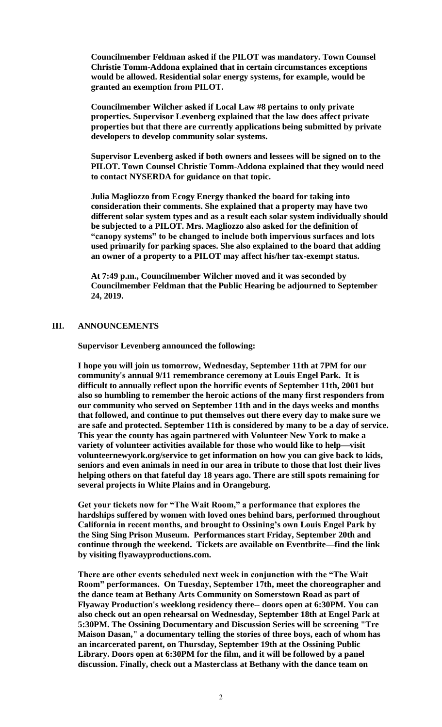**Councilmember Feldman asked if the PILOT was mandatory. Town Counsel Christie Tomm-Addona explained that in certain circumstances exceptions would be allowed. Residential solar energy systems, for example, would be granted an exemption from PILOT.**

**Councilmember Wilcher asked if Local Law #8 pertains to only private properties. Supervisor Levenberg explained that the law does affect private properties but that there are currently applications being submitted by private developers to develop community solar systems.** 

**Supervisor Levenberg asked if both owners and lessees will be signed on to the PILOT. Town Counsel Christie Tomm-Addona explained that they would need to contact NYSERDA for guidance on that topic.**

**Julia Magliozzo from Ecogy Energy thanked the board for taking into consideration their comments. She explained that a property may have two different solar system types and as a result each solar system individually should be subjected to a PILOT. Mrs. Magliozzo also asked for the definition of "canopy systems" to be changed to include both impervious surfaces and lots used primarily for parking spaces. She also explained to the board that adding an owner of a property to a PILOT may affect his/her tax-exempt status.** 

**At 7:49 p.m., Councilmember Wilcher moved and it was seconded by Councilmember Feldman that the Public Hearing be adjourned to September 24, 2019.** 

## **III. ANNOUNCEMENTS**

**Supervisor Levenberg announced the following:**

**I hope you will join us tomorrow, Wednesday, September 11th at 7PM for our community's annual 9/11 remembrance ceremony at Louis Engel Park. It is difficult to annually reflect upon the horrific events of September 11th, 2001 but also so humbling to remember the heroic actions of the many first responders from our community who served on September 11th and in the days weeks and months that followed, and continue to put themselves out there every day to make sure we are safe and protected. September 11th is considered by many to be a day of service. This year the county has again partnered with Volunteer New York to make a variety of volunteer activities available for those who would like to help—visit volunteernewyork.org/service to get information on how you can give back to kids, seniors and even animals in need in our area in tribute to those that lost their lives helping others on that fateful day 18 years ago. There are still spots remaining for several projects in White Plains and in Orangeburg.**

**Get your tickets now for "The Wait Room," a performance that explores the hardships suffered by women with loved ones behind bars, performed throughout California in recent months, and brought to Ossining's own Louis Engel Park by the Sing Sing Prison Museum. Performances start Friday, September 20th and continue through the weekend. Tickets are available on Eventbrite—find the link by visiting flyawayproductions.com.** 

**There are other events scheduled next week in conjunction with the "The Wait Room" performances. On Tuesday, September 17th, meet the choreographer and the dance team at Bethany Arts Community on Somerstown Road as part of Flyaway Production's weeklong residency there-- doors open at 6:30PM. You can also check out an open rehearsal on Wednesday, September 18th at Engel Park at 5:30PM. The Ossining Documentary and Discussion Series will be screening "Tre Maison Dasan," a documentary telling the stories of three boys, each of whom has an incarcerated parent, on Thursday, September 19th at the Ossining Public Library. Doors open at 6:30PM for the film, and it will be followed by a panel discussion. Finally, check out a Masterclass at Bethany with the dance team on**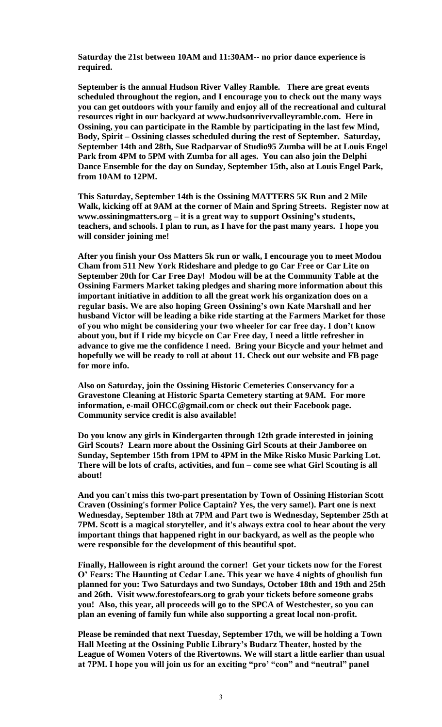**Saturday the 21st between 10AM and 11:30AM-- no prior dance experience is required.** 

**September is the annual Hudson River Valley Ramble. There are great events scheduled throughout the region, and I encourage you to check out the many ways you can get outdoors with your family and enjoy all of the recreational and cultural resources right in our backyard at www.hudsonrivervalleyramble.com. Here in Ossining, you can participate in the Ramble by participating in the last few Mind, Body, Spirit – Ossining classes scheduled during the rest of September. Saturday, September 14th and 28th, Sue Radparvar of Studio95 Zumba will be at Louis Engel Park from 4PM to 5PM with Zumba for all ages. You can also join the Delphi Dance Ensemble for the day on Sunday, September 15th, also at Louis Engel Park, from 10AM to 12PM.**

**This Saturday, September 14th is the Ossining MATTERS 5K Run and 2 Mile Walk, kicking off at 9AM at the corner of Main and Spring Streets. Register now at www.ossiningmatters.org – it is a great way to support Ossining's students, teachers, and schools. I plan to run, as I have for the past many years. I hope you will consider joining me!** 

**After you finish your Oss Matters 5k run or walk, I encourage you to meet Modou Cham from 511 New York Rideshare and pledge to go Car Free or Car Lite on September 20th for Car Free Day! Modou will be at the Community Table at the Ossining Farmers Market taking pledges and sharing more information about this important initiative in addition to all the great work his organization does on a regular basis. We are also hoping Green Ossining's own Kate Marshall and her husband Victor will be leading a bike ride starting at the Farmers Market for those of you who might be considering your two wheeler for car free day. I don't know about you, but if I ride my bicycle on Car Free day, I need a little refresher in advance to give me the confidence I need. Bring your Bicycle and your helmet and hopefully we will be ready to roll at about 11. Check out our website and FB page for more info.**

**Also on Saturday, join the Ossining Historic Cemeteries Conservancy for a Gravestone Cleaning at Historic Sparta Cemetery starting at 9AM. For more information, e-mail OHCC@gmail.com or check out their Facebook page. Community service credit is also available!** 

**Do you know any girls in Kindergarten through 12th grade interested in joining Girl Scouts? Learn more about the Ossining Girl Scouts at their Jamboree on Sunday, September 15th from 1PM to 4PM in the Mike Risko Music Parking Lot. There will be lots of crafts, activities, and fun – come see what Girl Scouting is all about!** 

**And you can't miss this two-part presentation by Town of Ossining Historian Scott Craven (Ossining's former Police Captain? Yes, the very same!). Part one is next Wednesday, September 18th at 7PM and Part two is Wednesday, September 25th at 7PM. Scott is a magical storyteller, and it's always extra cool to hear about the very important things that happened right in our backyard, as well as the people who were responsible for the development of this beautiful spot.**

**Finally, Halloween is right around the corner! Get your tickets now for the Forest O' Fears: The Haunting at Cedar Lane. This year we have 4 nights of ghoulish fun planned for you: Two Saturdays and two Sundays, October 18th and 19th and 25th and 26th. Visit www.forestofears.org to grab your tickets before someone grabs you! Also, this year, all proceeds will go to the SPCA of Westchester, so you can plan an evening of family fun while also supporting a great local non-profit.**

**Please be reminded that next Tuesday, September 17th, we will be holding a Town Hall Meeting at the Ossining Public Library's Budarz Theater, hosted by the League of Women Voters of the Rivertowns. We will start a little earlier than usual at 7PM. I hope you will join us for an exciting "pro' "con" and "neutral" panel**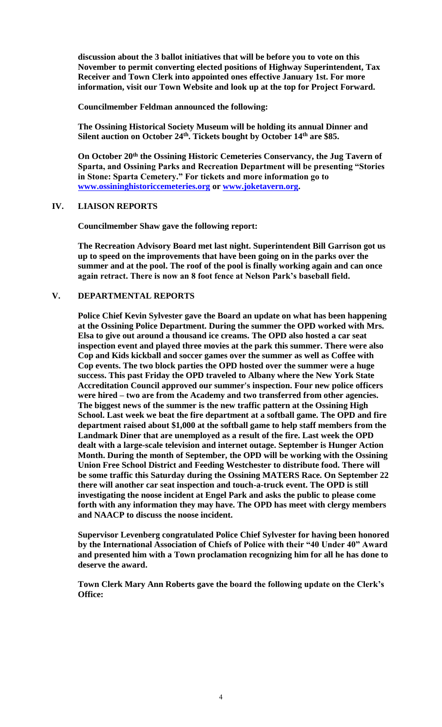**discussion about the 3 ballot initiatives that will be before you to vote on this November to permit converting elected positions of Highway Superintendent, Tax Receiver and Town Clerk into appointed ones effective January 1st. For more information, visit our Town Website and look up at the top for Project Forward.** 

**Councilmember Feldman announced the following:**

**The Ossining Historical Society Museum will be holding its annual Dinner and Silent auction on October 24th. Tickets bought by October 14th are \$85.** 

**On October 20th the Ossining Historic Cemeteries Conservancy, the Jug Tavern of Sparta, and Ossining Parks and Recreation Department will be presenting "Stories in Stone: Sparta Cemetery." For tickets and more information go to [www.ossininghistoriccemeteries.org](http://www.ossininghistoriccemeteries.org/) or [www.joketavern.org.](http://www.joketavern.org/)** 

#### **IV. LIAISON REPORTS**

**Councilmember Shaw gave the following report:**

**The Recreation Advisory Board met last night. Superintendent Bill Garrison got us up to speed on the improvements that have been going on in the parks over the summer and at the pool. The roof of the pool is finally working again and can once again retract. There is now an 8 foot fence at Nelson Park's baseball field.**

## **V. DEPARTMENTAL REPORTS**

**Police Chief Kevin Sylvester gave the Board an update on what has been happening at the Ossining Police Department. During the summer the OPD worked with Mrs. Elsa to give out around a thousand ice creams. The OPD also hosted a car seat inspection event and played three movies at the park this summer. There were also Cop and Kids kickball and soccer games over the summer as well as Coffee with Cop events. The two block parties the OPD hosted over the summer were a huge success. This past Friday the OPD traveled to Albany where the New York State Accreditation Council approved our summer's inspection. Four new police officers were hired – two are from the Academy and two transferred from other agencies. The biggest news of the summer is the new traffic pattern at the Ossining High School. Last week we beat the fire department at a softball game. The OPD and fire department raised about \$1,000 at the softball game to help staff members from the Landmark Diner that are unemployed as a result of the fire. Last week the OPD dealt with a large-scale television and internet outage. September is Hunger Action Month. During the month of September, the OPD will be working with the Ossining Union Free School District and Feeding Westchester to distribute food. There will be some traffic this Saturday during the Ossining MATERS Race. On September 22 there will another car seat inspection and touch-a-truck event. The OPD is still investigating the noose incident at Engel Park and asks the public to please come forth with any information they may have. The OPD has meet with clergy members and NAACP to discuss the noose incident.** 

**Supervisor Levenberg congratulated Police Chief Sylvester for having been honored by the International Association of Chiefs of Police with their "40 Under 40" Award and presented him with a Town proclamation recognizing him for all he has done to deserve the award.**

**Town Clerk Mary Ann Roberts gave the board the following update on the Clerk's Office:**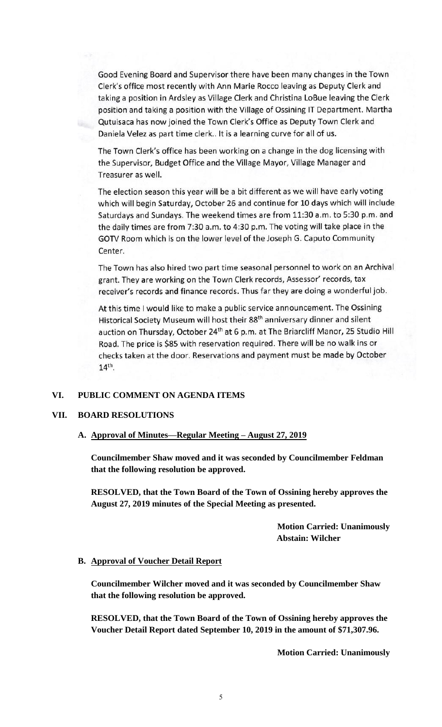Good Evening Board and Supervisor there have been many changes in the Town Clerk's office most recently with Ann Marie Rocco leaving as Deputy Clerk and taking a position in Ardsley as Village Clerk and Christina LoBue leaving the Clerk position and taking a position with the Village of Ossining IT Department. Martha Qutuisaca has now joined the Town Clerk's Office as Deputy Town Clerk and Daniela Velez as part time clerk.. It is a learning curve for all of us.

The Town Clerk's office has been working on a change in the dog licensing with the Supervisor, Budget Office and the Village Mayor, Village Manager and Treasurer as well.

The election season this year will be a bit different as we will have early voting which will begin Saturday, October 26 and continue for 10 days which will include Saturdays and Sundays. The weekend times are from 11:30 a.m. to 5:30 p.m. and the daily times are from 7:30 a.m. to 4:30 p.m. The voting will take place in the GOTV Room which is on the lower level of the Joseph G. Caputo Community Center.

The Town has also hired two part time seasonal personnel to work on an Archival grant. They are working on the Town Clerk records, Assessor' records, tax receiver's records and finance records. Thus far they are doing a wonderful job.

At this time I would like to make a public service announcement. The Ossining Historical Society Museum will host their 88<sup>th</sup> anniversary dinner and silent auction on Thursday, October 24<sup>th</sup> at 6 p.m. at The Briarcliff Manor, 25 Studio Hill Road. The price is \$85 with reservation required. There will be no walk ins or checks taken at the door. Reservations and payment must be made by October 14<sup>th</sup>.

### **VI. PUBLIC COMMENT ON AGENDA ITEMS**

## **VII. BOARD RESOLUTIONS**

### **A. Approval of Minutes—Regular Meeting – August 27, 2019**

**Councilmember Shaw moved and it was seconded by Councilmember Feldman that the following resolution be approved.**

**RESOLVED, that the Town Board of the Town of Ossining hereby approves the August 27, 2019 minutes of the Special Meeting as presented.**

> **Motion Carried: Unanimously Abstain: Wilcher**

#### **B. Approval of Voucher Detail Report**

**Councilmember Wilcher moved and it was seconded by Councilmember Shaw that the following resolution be approved.**

**RESOLVED, that the Town Board of the Town of Ossining hereby approves the Voucher Detail Report dated September 10, 2019 in the amount of \$71,307.96.**

**Motion Carried: Unanimously**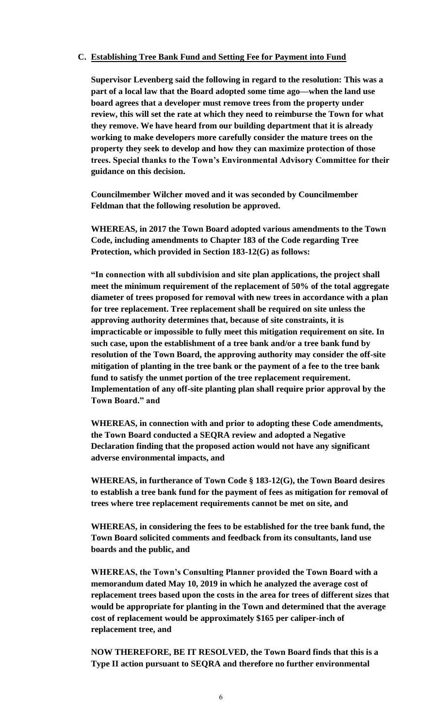## **C. Establishing Tree Bank Fund and Setting Fee for Payment into Fund**

**Supervisor Levenberg said the following in regard to the resolution: This was a part of a local law that the Board adopted some time ago—when the land use board agrees that a developer must remove trees from the property under review, this will set the rate at which they need to reimburse the Town for what they remove. We have heard from our building department that it is already working to make developers more carefully consider the mature trees on the property they seek to develop and how they can maximize protection of those trees. Special thanks to the Town's Environmental Advisory Committee for their guidance on this decision.**

**Councilmember Wilcher moved and it was seconded by Councilmember Feldman that the following resolution be approved.**

**WHEREAS, in 2017 the Town Board adopted various amendments to the Town Code, including amendments to Chapter 183 of the Code regarding Tree Protection, which provided in Section 183-12(G) as follows:**

**"In connection with all subdivision and site plan applications, the project shall meet the minimum requirement of the replacement of 50% of the total aggregate diameter of trees proposed for removal with new trees in accordance with a plan for tree replacement. Tree replacement shall be required on site unless the approving authority determines that, because of site constraints, it is impracticable or impossible to fully meet this mitigation requirement on site. In such case, upon the establishment of a tree bank and/or a tree bank fund by resolution of the Town Board, the approving authority may consider the off-site mitigation of planting in the tree bank or the payment of a fee to the tree bank fund to satisfy the unmet portion of the tree replacement requirement. Implementation of any off-site planting plan shall require prior approval by the Town Board." and**

**WHEREAS, in connection with and prior to adopting these Code amendments, the Town Board conducted a SEQRA review and adopted a Negative Declaration finding that the proposed action would not have any significant adverse environmental impacts, and**

**WHEREAS, in furtherance of Town Code § 183-12(G), the Town Board desires to establish a tree bank fund for the payment of fees as mitigation for removal of trees where tree replacement requirements cannot be met on site, and**

**WHEREAS, in considering the fees to be established for the tree bank fund, the Town Board solicited comments and feedback from its consultants, land use boards and the public, and**

**WHEREAS, the Town's Consulting Planner provided the Town Board with a memorandum dated May 10, 2019 in which he analyzed the average cost of replacement trees based upon the costs in the area for trees of different sizes that would be appropriate for planting in the Town and determined that the average cost of replacement would be approximately \$165 per caliper-inch of replacement tree, and**

**NOW THEREFORE, BE IT RESOLVED, the Town Board finds that this is a Type II action pursuant to SEQRA and therefore no further environmental**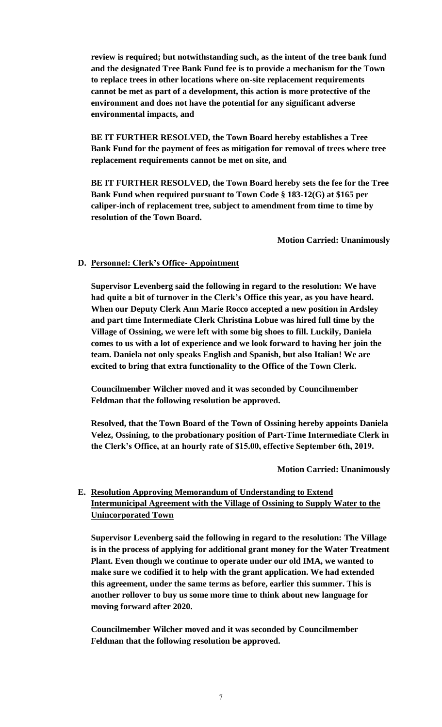**review is required; but notwithstanding such, as the intent of the tree bank fund and the designated Tree Bank Fund fee is to provide a mechanism for the Town to replace trees in other locations where on-site replacement requirements cannot be met as part of a development, this action is more protective of the environment and does not have the potential for any significant adverse environmental impacts, and** 

**BE IT FURTHER RESOLVED, the Town Board hereby establishes a Tree Bank Fund for the payment of fees as mitigation for removal of trees where tree replacement requirements cannot be met on site, and**

**BE IT FURTHER RESOLVED, the Town Board hereby sets the fee for the Tree Bank Fund when required pursuant to Town Code § 183-12(G) at \$165 per caliper-inch of replacement tree, subject to amendment from time to time by resolution of the Town Board.**

**Motion Carried: Unanimously** 

# **D. Personnel: Clerk's Office- Appointment**

**Supervisor Levenberg said the following in regard to the resolution: We have had quite a bit of turnover in the Clerk's Office this year, as you have heard. When our Deputy Clerk Ann Marie Rocco accepted a new position in Ardsley and part time Intermediate Clerk Christina Lobue was hired full time by the Village of Ossining, we were left with some big shoes to fill. Luckily, Daniela comes to us with a lot of experience and we look forward to having her join the team. Daniela not only speaks English and Spanish, but also Italian! We are excited to bring that extra functionality to the Office of the Town Clerk.**

**Councilmember Wilcher moved and it was seconded by Councilmember Feldman that the following resolution be approved.**

**Resolved, that the Town Board of the Town of Ossining hereby appoints Daniela Velez, Ossining, to the probationary position of Part-Time Intermediate Clerk in the Clerk's Office, at an hourly rate of \$15.00, effective September 6th, 2019.**

**Motion Carried: Unanimously** 

# **E. Resolution Approving Memorandum of Understanding to Extend Intermunicipal Agreement with the Village of Ossining to Supply Water to the Unincorporated Town**

**Supervisor Levenberg said the following in regard to the resolution: The Village is in the process of applying for additional grant money for the Water Treatment Plant. Even though we continue to operate under our old IMA, we wanted to make sure we codified it to help with the grant application. We had extended this agreement, under the same terms as before, earlier this summer. This is another rollover to buy us some more time to think about new language for moving forward after 2020.**

**Councilmember Wilcher moved and it was seconded by Councilmember Feldman that the following resolution be approved.**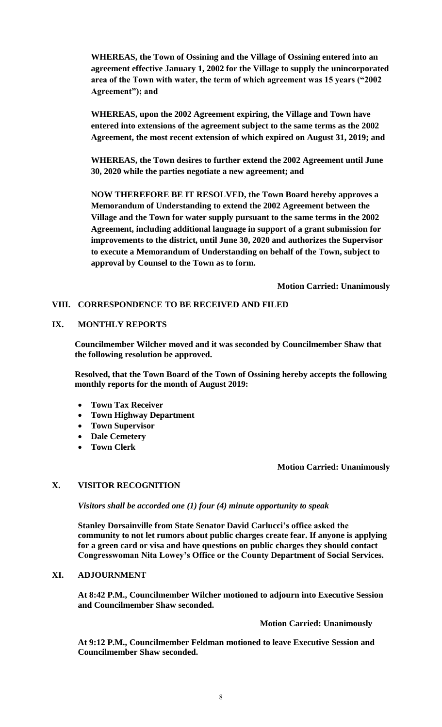**WHEREAS, the Town of Ossining and the Village of Ossining entered into an agreement effective January 1, 2002 for the Village to supply the unincorporated area of the Town with water, the term of which agreement was 15 years ("2002 Agreement"); and** 

**WHEREAS, upon the 2002 Agreement expiring, the Village and Town have entered into extensions of the agreement subject to the same terms as the 2002 Agreement, the most recent extension of which expired on August 31, 2019; and** 

**WHEREAS, the Town desires to further extend the 2002 Agreement until June 30, 2020 while the parties negotiate a new agreement; and** 

**NOW THEREFORE BE IT RESOLVED, the Town Board hereby approves a Memorandum of Understanding to extend the 2002 Agreement between the Village and the Town for water supply pursuant to the same terms in the 2002 Agreement, including additional language in support of a grant submission for improvements to the district, until June 30, 2020 and authorizes the Supervisor to execute a Memorandum of Understanding on behalf of the Town, subject to approval by Counsel to the Town as to form.** 

**Motion Carried: Unanimously** 

## **VIII. CORRESPONDENCE TO BE RECEIVED AND FILED**

## **IX. MONTHLY REPORTS**

**Councilmember Wilcher moved and it was seconded by Councilmember Shaw that the following resolution be approved.**

**Resolved, that the Town Board of the Town of Ossining hereby accepts the following monthly reports for the month of August 2019:**

- **Town Tax Receiver**
- **Town Highway Department**
- **Town Supervisor**
- **Dale Cemetery**
- **Town Clerk**

#### **Motion Carried: Unanimously**

#### **X. VISITOR RECOGNITION**

*Visitors shall be accorded one (1) four (4) minute opportunity to speak*

**Stanley Dorsainville from State Senator David Carlucci's office asked the community to not let rumors about public charges create fear. If anyone is applying for a green card or visa and have questions on public charges they should contact Congresswoman Nita Lowey's Office or the County Department of Social Services.** 

### **XI. ADJOURNMENT**

**At 8:42 P.M., Councilmember Wilcher motioned to adjourn into Executive Session and Councilmember Shaw seconded.** 

#### **Motion Carried: Unanimously**

**At 9:12 P.M., Councilmember Feldman motioned to leave Executive Session and Councilmember Shaw seconded.**